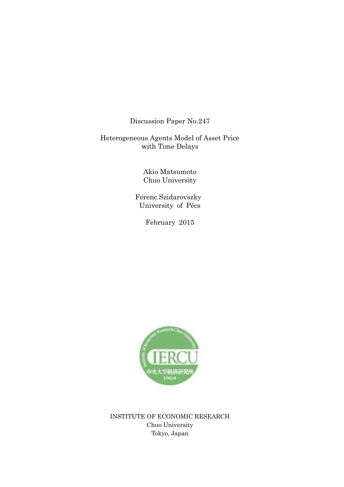Discussion Paper No.247

Heterogeneous Agents Model of Asset Price with Time Delays

> Akio Matsumoto Chuo University

 Ferenc Szidarovszky University of Pécs

February 2015



INSTITUTE OF ECONOMIC RESEARCH Chuo University Tokyo, Japan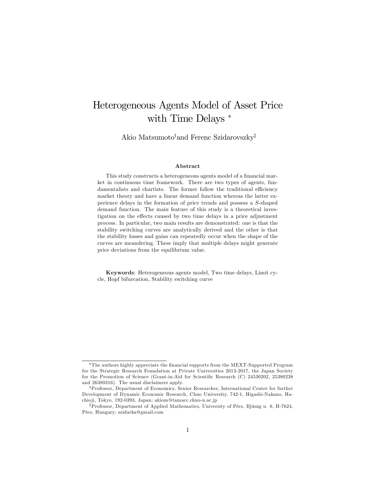# Heterogeneous Agents Model of Asset Price with Time Delays<sup>\*</sup>

Akio Matsumoto<sup>†</sup>and Ferenc Szidarovszky<sup>‡</sup>

#### Abstract

This study constructs a heterogeneous agents model of a financial market in continuous time framework. There are two types of agents, fundamentalists and chartists. The former follow the traditional efficiency market theory and have a linear demand function whereas the latter experience delays in the formation of price trends and possess a S-shaped demand function. The main feature of this study is a theoretical investigation on the effects caused by two time delays in a price adjustment process. In particular, two main results are demonstrated: one is that the stability switching curves are analytically derived and the other is that the stability losses and gains can repeatedly occur when the shape of the curves are meandering. These imply that multiple delays might generate price deviations from the equilibrium value.

Keywords: Heterogeneous agents model, Two time delays, Limit cycle, Hopf bifurcation, Stability switching curve

The authors highly appreciate the Önancial supports from the MEXT-Supported Program for the Strategic Research Foundation at Private Universities 2013-2017, the Japan Society for the Promotion of Science (Grant-in-Aid for Scientific Research (C) 24530202, 25380238 and 26380316). The usual disclaimers apply.

yProfessor, Department of Economics, Senior Researcher, International Center for further Development of Dynamic Economic Research, Chuo University, 742-1, Higashi-Nakano, Hachio ji, Tokyo, 192-0393, Japan; akiom@tamacc.chuo-u.ac.jp

<sup>&</sup>lt;sup>‡</sup>Professor, Department of Applied Mathematics, University of Pécs, Ifjúság u. 6, H-7624, PÈcs, Hungary; szidarka@gmail.com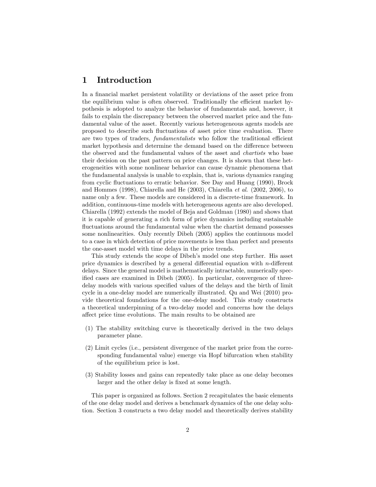### 1 Introduction

In a financial market persistent volatility or deviations of the asset price from the equilibrium value is often observed. Traditionally the efficient market hypothesis is adopted to analyze the behavior of fundamentals and, however, it fails to explain the discrepancy between the observed market price and the fundamental value of the asset. Recently various heterogeneous agents models are proposed to describe such fluctuations of asset price time evaluation. There are two types of traders, *fundamentalists* who follow the traditional efficient market hypothesis and determine the demand based on the difference between the observed and the fundamental values of the asset and *chartists* who base their decision on the past pattern on price changes. It is shown that these heterogeneities with some nonlinear behavior can cause dynamic phenomena that the fundamental analysis is unable to explain, that is, various dynamics ranging from cyclic fluctuations to erratic behavior. See Day and Huang (1990), Brock and Hommes (1998), Chiarella and He (2003), Chiarella et al. (2002, 2006), to name only a few. These models are considered in a discrete-time framework. In addition, continuous-time models with heterogeneous agents are also developed. Chiarella (1992) extends the model of Beja and Goldman (1980) and shows that it is capable of generating a rich form of price dynamics including sustainable fluctuations around the fundamental value when the chartist demand possesses some nonlinearities. Only recently Dibeh (2005) applies the continuous model to a case in which detection of price movements is less than perfect and presents the one-asset model with time delays in the price trends.

This study extends the scope of Dibeh's model one step further. His asset price dynamics is described by a general differential equation with  $n$ -different delays. Since the general model is mathematically intractable, numerically specified cases are examined in Dibeh (2005). In particular, convergence of threedelay models with various specified values of the delays and the birth of limit cycle in a one-delay model are numerically illustrated. Qu and Wei (2010) provide theoretical foundations for the one-delay model. This study constructs a theoretical underpinning of a two-delay model and concerns how the delays affect price time evolutions. The main results to be obtained are

- (1) The stability switching curve is theoretically derived in the two delays parameter plane.
- (2) Limit cycles (i.e., persistent divergence of the market price from the corresponding fundamental value) emerge via Hopf bifurcation when stability of the equilibrium price is lost.
- (3) Stability losses and gains can repeatedly take place as one delay becomes larger and the other delay is fixed at some length.

This paper is organized as follows. Section 2 recapitulates the basic elements of the one delay model and derives a benchmark dynamics of the one delay solution. Section 3 constructs a two delay model and theoretically derives stability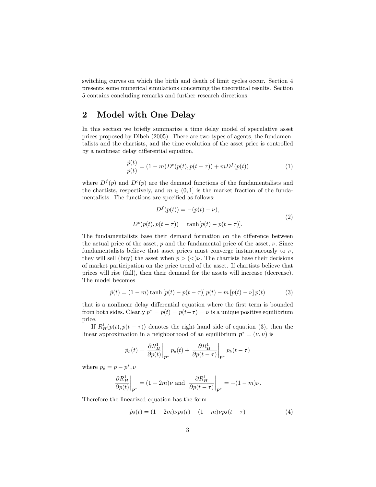switching curves on which the birth and death of limit cycles occur. Section 4 presents some numerical simulations concerning the theoretical results. Section 5 contains concluding remarks and further research directions.

# 2 Model with One Delay

In this section we briefly summarize a time delay model of speculative asset prices proposed by Dibeh (2005). There are two types of agents, the fundamentalists and the chartists, and the time evolution of the asset price is controlled by a nonlinear delay differential equation,

$$
\frac{\dot{p}(t)}{p(t)} = (1 - m)D^{c}(p(t), p(t - \tau)) + mD^{f}(p(t))
$$
\n(1)

where  $D^f(p)$  and  $D^c(p)$  are the demand functions of the fundamentalists and the chartists, respectively, and  $m \in (0, 1]$  is the market fraction of the fundamentalists. The functions are specified as follows:

$$
Df(p(t)) = -(p(t) - \nu),
$$
  
\n
$$
Dc(p(t), p(t - \tau)) = \tanh[p(t) - p(t - \tau)].
$$
\n(2)

The fundamentalists base their demand formation on the difference between the actual price of the asset,  $p$  and the fundamental price of the asset,  $\nu$ . Since fundamentalists believe that asset prices must converge instantaneously to  $\nu$ . they will sell (buy) the asset when  $p > \langle z \rangle \nu$ . The chartists base their decisions of market participation on the price trend of the asset. If chartists believe that prices will rise (fall), then their demand for the assets will increase (decrease). The model becomes

$$
\dot{p}(t) = (1 - m) \tanh [p(t) - p(t - \tau)] p(t) - m [p(t) - \nu] p(t)
$$
\n(3)

that is a nonlinear delay differential equation where the first term is bounded from both sides. Clearly  $p^* = p(t) = p(t-\tau) = \nu$  is a unique positive equilibrium price.

If  $R^1_H(p(t), p(t-\tau))$  denotes the right hand side of equation (3), then the linear approximation in a neighborhood of an equilibrium  $p^* = (\nu, \nu)$  is

$$
\dot{p}_{\delta}(t) = \left. \frac{\partial R_H^1}{\partial p(t)} \right|_{p^*} p_{\delta}(t) + \left. \frac{\partial R_H^1}{\partial p(t-\tau)} \right|_{p^*} p_{\delta}(t-\tau)
$$

where  $p_{\delta} = p - p^*, \nu$ 

$$
\left. \frac{\partial R_H^1}{\partial p(t)} \right|_{\mathbf{p}^*} = (1 - 2m)\nu \text{ and } \left. \frac{\partial R_H^1}{\partial p(t - \tau)} \right|_{\mathbf{p}^*} = -(1 - m)\nu.
$$

Therefore the linearized equation has the form

$$
\dot{p}_{\delta}(t) = (1 - 2m)\nu p_{\delta}(t) - (1 - m)\nu p_{\delta}(t - \tau)
$$
\n(4)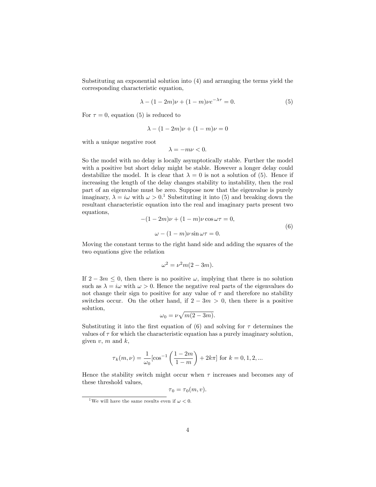Substituting an exponential solution into (4) and arranging the terms yield the corresponding characteristic equation,

$$
\lambda - (1 - 2m)\nu + (1 - m)\nu e^{-\lambda \tau} = 0.
$$
 (5)

For  $\tau = 0$ , equation (5) is reduced to

$$
\lambda - (1 - 2m)\nu + (1 - m)\nu = 0
$$

with a unique negative root

$$
\lambda = -m\nu < 0.
$$

So the model with no delay is locally asymptotically stable. Further the model with a positive but short delay might be stable. However a longer delay could destabilize the model. It is clear that  $\lambda = 0$  is not a solution of (5). Hence if increasing the length of the delay changes stability to instability, then the real part of an eigenvalue must be zero. Suppose now that the eigenvalue is purely imaginary,  $\lambda = i\omega$  with  $\omega > 0$ .<sup>1</sup> Substituting it into (5) and breaking down the resultant characteristic equation into the real and imaginary parts present two equations,

$$
-(1-2m)\nu + (1-m)\nu \cos \omega \tau = 0,
$$
  

$$
\omega - (1-m)\nu \sin \omega \tau = 0.
$$
 (6)

Moving the constant terms to the right hand side and adding the squares of the two equations give the relation

$$
\omega^2 = \nu^2 m(2 - 3m).
$$

If  $2 - 3m \leq 0$ , then there is no positive  $\omega$ , implying that there is no solution such as  $\lambda = i\omega$  with  $\omega > 0$ . Hence the negative real parts of the eigenvalues do not change their sign to positive for any value of  $\tau$  and therefore no stability switches occur. On the other hand, if  $2 - 3m > 0$ , then there is a positive solution,

$$
\omega_0 = \nu \sqrt{m(2-3m)}.
$$

Substituting it into the first equation of (6) and solving for  $\tau$  determines the values of  $\tau$  for which the characteristic equation has a purely imaginary solution, given  $v, m$  and  $k,$ 

$$
\tau_k(m,\nu) = \frac{1}{\omega_0} [\cos^{-1}\left(\frac{1-2m}{1-m}\right) + 2k\pi] \text{ for } k = 0, 1, 2, ...
$$

Hence the stability switch might occur when  $\tau$  increases and becomes any of these threshold values,

$$
\tau_0 = \tau_0(m, v).
$$

<sup>&</sup>lt;sup>1</sup>We will have the same results even if  $\omega < 0$ .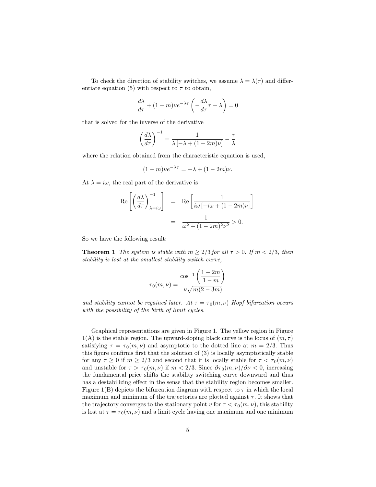To check the direction of stability switches, we assume  $\lambda = \lambda(\tau)$  and differentiate equation (5) with respect to  $\tau$  to obtain,

$$
\frac{d\lambda}{d\tau} + (1 - m)\nu e^{-\lambda \tau} \left( -\frac{d\lambda}{d\tau} \tau - \lambda \right) = 0
$$

that is solved for the inverse of the derivative

$$
\left(\frac{d\lambda}{d\tau}\right)^{-1} = \frac{1}{\lambda \left[-\lambda + (1-2m)\nu\right]} - \frac{\tau}{\lambda}
$$

where the relation obtained from the characteristic equation is used,

$$
(1 - m)\nu e^{-\lambda \tau} = -\lambda + (1 - 2m)\nu.
$$

At  $\lambda = i\omega$ , the real part of the derivative is

$$
\operatorname{Re}\left[\left(\frac{d\lambda}{d\tau}\right)_{\lambda=i\omega}^{-1}\right] = \operatorname{Re}\left[\frac{1}{i\omega\left[-i\omega + (1-2m)\nu\right]}\right]
$$

$$
= \frac{1}{\omega^2 + (1-2m)^2\nu^2} > 0.
$$

So we have the following result:

**Theorem 1** The system is stable with  $m \geq 2/3$  for all  $\tau > 0$ . If  $m < 2/3$ , then stability is lost at the smallest stability switch curve,

$$
\tau_0(m,\nu)=\frac{\cos^{-1}\left(\displaystyle\frac{1-2m}{1-m}\right)}{\displaystyle \nu \sqrt{m(2-3m)}}
$$

and stability cannot be regained later. At  $\tau = \tau_0(m, \nu)$  Hopf bifurcation occurs with the possibility of the birth of limit cycles.

Graphical representations are given in Figure 1. The yellow region in Figure  $1(A)$  is the stable region. The upward-sloping black curve is the locus of  $(m, \tau)$ satisfying  $\tau = \tau_0(m, \nu)$  and asymptotic to the dotted line at  $m = 2/3$ . Thus this figure confirms first that the solution of  $(3)$  is locally asymptotically stable for any  $\tau \geq 0$  if  $m \geq 2/3$  and second that it is locally stable for  $\tau < \tau_0(m,\nu)$ and unstable for  $\tau > \tau_0(m, \nu)$  if  $m < 2/3$ . Since  $\partial \tau_0(m, \nu)/\partial \nu < 0$ , increasing the fundamental price shifts the stability switching curve downward and thus has a destabilizing effect in the sense that the stability region becomes smaller. Figure 1(B) depicts the bifurcation diagram with respect to  $\tau$  in which the local maximum and minimum of the trajectories are plotted against  $\tau$ . It shows that the trajectory converges to the stationary point v for  $\tau < \tau_0(m,\nu)$ , this stability is lost at  $\tau = \tau_0(m, \nu)$  and a limit cycle having one maximum and one minimum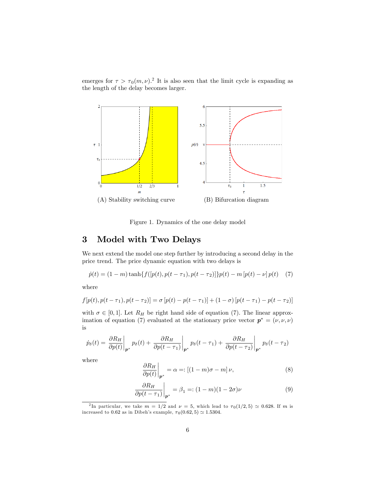emerges for  $\tau > \tau_0(m,\nu)$ .<sup>2</sup> It is also seen that the limit cycle is expanding as the length of the delay becomes larger.



Figure 1. Dynamics of the one delay model

## 3 Model with Two Delays

We next extend the model one step further by introducing a second delay in the price trend. The price dynamic equation with two delays is

$$
\dot{p}(t) = (1 - m)\tanh\{f([p(t), p(t - \tau_1), p(t - \tau_2)]\}p(t) - m[p(t) - \nu]p(t) \quad (7)
$$

where

$$
f[p(t), p(t - \tau_1), p(t - \tau_2)] = \sigma [p(t) - p(t - \tau_1)] + (1 - \sigma) [p(t - \tau_1) - p(t - \tau_2)]
$$

with  $\sigma \in [0, 1]$ . Let  $R_H$  be right hand side of equation (7). The linear approximation of equation (7) evaluated at the stationary price vector  $p^* = (\nu, \nu, \nu)$ is

$$
\dot{p}_{\delta}(t) = \frac{\partial R_H}{\partial p(t)}\bigg|_{\boldsymbol{p}^*} p_{\delta}(t) + \frac{\partial R_H}{\partial p(t-\tau_1)}\bigg|_{\boldsymbol{p}^*} p_{\delta}(t-\tau_1) + \frac{\partial R_H}{\partial p(t-\tau_2)}\bigg|_{\boldsymbol{p}^*} p_{\delta}(t-\tau_2)
$$

where

$$
\left. \frac{\partial R_H}{\partial p(t)} \right|_{p^*} = \alpha =: \left[ (1 - m)\sigma - m \right] \nu,\tag{8}
$$

$$
\frac{\partial R_H}{\partial p(t-\tau_1)}\bigg|_{\mathbf{p}^*} = \beta_1 =: (1-m)(1-2\sigma)\nu \tag{9}
$$

<sup>&</sup>lt;sup>2</sup>In particular, we take  $m = 1/2$  and  $\nu = 5$ , which lead to  $\tau_0(1/2, 5) \simeq 0.628$ . If m is increased to 0.62 as in Dibeh's example,  $\tau_0(0.62, 5) \simeq 1.5304$ .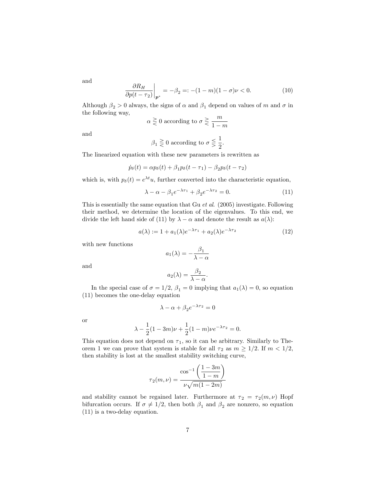and

$$
\frac{\partial R_H}{\partial p(t - \tau_2)}\bigg|_{\mathbf{p}^*} = -\beta_2 =: -(1 - m)(1 - \sigma)\nu < 0. \tag{10}
$$

Although  $\beta_2 > 0$  always, the signs of  $\alpha$  and  $\beta_1$  depend on values of m and  $\sigma$  in the following way,

$$
\alpha \geq 0
$$
 according to  $\sigma \geq \frac{m}{1-m}$ 

and

$$
\beta_1 \geq 0
$$
 according to  $\sigma \leq \frac{1}{2}$ .

The linearized equation with these new parameters is rewritten as

$$
\dot{p}_{\delta}(t) = \alpha p_{\delta}(t) + \beta_1 p_{\delta}(t - \tau_1) - \beta_2 p_{\delta}(t - \tau_2)
$$

which is, with  $p_{\delta}(t) = e^{\lambda t}u$ , further converted into the characteristic equation,

$$
\lambda - \alpha - \beta_1 e^{-\lambda \tau_1} + \beta_2 e^{-\lambda \tau_2} = 0.
$$
 (11)

This is essentially the same equation that Gu et al. (2005) investigate. Following their method, we determine the location of the eigenvalues. To this end, we divide the left hand side of (11) by  $\lambda - \alpha$  and denote the result as  $a(\lambda)$ :

$$
a(\lambda) := 1 + a_1(\lambda)e^{-\lambda \tau_1} + a_2(\lambda)e^{-\lambda \tau_2}
$$
\n(12)

with new functions

$$
a_1(\lambda) = -\frac{\beta_1}{\lambda - \alpha}
$$

and

$$
a_2(\lambda) = \frac{\beta_2}{\lambda - \alpha}.
$$

In the special case of  $\sigma = 1/2$ ,  $\beta_1 = 0$  implying that  $a_1(\lambda) = 0$ , so equation (11) becomes the one-delay equation

$$
\lambda - \alpha + \beta_2 e^{-\lambda \tau_2} = 0
$$

or

$$
\lambda - \frac{1}{2}(1 - 3m)\nu + \frac{1}{2}(1 - m)\nu e^{-\lambda \tau_2} = 0.
$$

This equation does not depend on  $\tau_1$ , so it can be arbitrary. Similarly to Theorem 1 we can prove that system is stable for all  $\tau_2$  as  $m \geq 1/2$ . If  $m < 1/2$ , then stability is lost at the smallest stability switching curve,

$$
\tau_2(m,\nu)=\frac{\cos^{-1}\left(\displaystyle\frac{1-3m}{1-m}\right)}{\displaystyle\nu\sqrt{m(1-2m)}}
$$

and stability cannot be regained later. Furthermore at  $\tau_2 = \tau_2(m, \nu)$  Hopf bifurcation occurs. If  $\sigma \neq 1/2$ , then both  $\beta_1$  and  $\beta_2$  are nonzero, so equation (11) is a two-delay equation.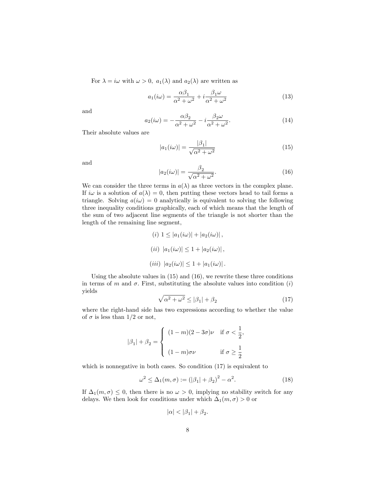For  $\lambda = i\omega$  with  $\omega > 0$ ,  $a_1(\lambda)$  and  $a_2(\lambda)$  are written as

$$
a_1(i\omega) = \frac{\alpha \beta_1}{\alpha^2 + \omega^2} + i \frac{\beta_1 \omega}{\alpha^2 + \omega^2}
$$
 (13)

and

$$
a_2(i\omega) = -\frac{\alpha\beta_2}{\alpha^2 + \omega^2} - i\frac{\beta_2\omega}{\alpha^2 + \omega^2}.
$$
 (14)

Their absolute values are

$$
|a_1(i\omega)| = \frac{|\beta_1|}{\sqrt{\alpha^2 + \omega^2}}
$$
\n(15)

and

$$
|a_2(i\omega)| = \frac{\beta_2}{\sqrt{\alpha^2 + \omega^2}}.\tag{16}
$$

We can consider the three terms in  $a(\lambda)$  as three vectors in the complex plane. If  $i\omega$  is a solution of  $a(\lambda) = 0$ , then putting these vectors head to tail forms a triangle. Solving  $a(i\omega) = 0$  analytically is equivalent to solving the following three inequality conditions graphically, each of which means that the length of the sum of two adjacent line segments of the triangle is not shorter than the length of the remaining line segment,

(i) 
$$
1 \le |a_1(i\omega)| + |a_2(i\omega)|
$$
,  
\n(ii)  $|a_1(i\omega)| \le 1 + |a_2(i\omega)|$ ,  
\n(iii)  $|a_2(i\omega)| \le 1 + |a_1(i\omega)|$ .

Using the absolute values in (15) and (16), we rewrite these three conditions in terms of m and  $\sigma$ . First, substituting the absolute values into condition (i) yields

$$
\sqrt{\alpha^2 + \omega^2} \le |\beta_1| + \beta_2 \tag{17}
$$

where the right-hand side has two expressions according to whether the value of  $\sigma$  is less than 1/2 or not,

$$
|\beta_1| + \beta_2 = \begin{cases} (1-m)(2-3\sigma)\nu & \text{if } \sigma < \frac{1}{2}, \\ & (1-m)\sigma\nu & \text{if } \sigma \geq \frac{1}{2} \end{cases}
$$

which is nonnegative in both cases. So condition  $(17)$  is equivalent to

$$
\omega^2 \le \Delta_1(m, \sigma) := (|\beta_1| + \beta_2)^2 - \alpha^2. \tag{18}
$$

If  $\Delta_1(m, \sigma) \leq 0$ , then there is no  $\omega > 0$ , implying no stability switch for any delays. We then look for conditions under which  $\Delta_1(m, \sigma) > 0$  or

$$
|\alpha| < |\beta_1| + \beta_2.
$$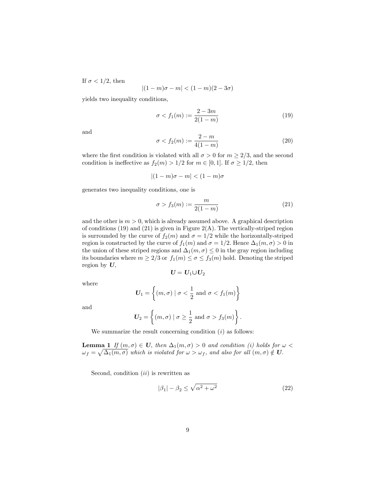If  $\sigma$  < 1/2, then

$$
|(1-m)\sigma-m|<(1-m)(2-3\sigma)
$$

yields two inequality conditions,

$$
\sigma < f_1(m) := \frac{2 - 3m}{2(1 - m)}\tag{19}
$$

and

$$
\sigma < f_2(m) := \frac{2 - m}{4(1 - m)}\tag{20}
$$

where the first condition is violated with all  $\sigma > 0$  for  $m \geq 2/3$ , and the second condition is ineffective as  $f_2(m) > 1/2$  for  $m \in [0, 1]$ . If  $\sigma \geq 1/2$ , then

$$
|(1-m)\sigma - m| < (1-m)\sigma
$$

generates two inequality conditions, one is

$$
\sigma > f_3(m) := \frac{m}{2(1-m)}\tag{21}
$$

and the other is  $m > 0$ , which is already assumed above. A graphical description of conditions  $(19)$  and  $(21)$  is given in Figure  $2(A)$ . The vertically-striped region is surrounded by the curve of  $f_2(m)$  and  $\sigma = 1/2$  while the horizontally-striped region is constructed by the curve of  $f_1(m)$  and  $\sigma = 1/2$ . Hence  $\Delta_1(m, \sigma) > 0$  in the union of these striped regions and  $\Delta_1(m, \sigma) \leq 0$  in the gray region including its boundaries where  $m \geq 2/3$  or  $f_1(m) \leq \sigma \leq f_3(m)$  hold. Denoting the striped region by  $U$ ,

$$
\boldsymbol{U} = \boldsymbol{U}_1 \!\cup\! \boldsymbol{U}_2
$$

where

$$
\boldsymbol{U}_1 = \left\{ (m, \sigma) \mid \sigma < \frac{1}{2} \text{ and } \sigma < f_1(m) \right\}
$$

and

$$
\boldsymbol{U}_2 = \left\{ (m,\sigma) \mid \sigma \ge \frac{1}{2} \text{ and } \sigma > f_3(m) \right\}.
$$

We summarize the result concerning condition  $(i)$  as follows:

**Lemma 1** If  $(m, \sigma) \in U$ , then  $\Delta_1(m, \sigma) > 0$  and condition (i) holds for  $\omega$  <  $\omega_f = \sqrt{\Delta_1(m,\sigma)}$  which is violated for  $\omega > \omega_f$ , and also for all  $(m,\sigma) \notin U$ .

Second, condition  $(ii)$  is rewritten as

$$
|\beta_1| - \beta_2 \le \sqrt{\alpha^2 + \omega^2} \tag{22}
$$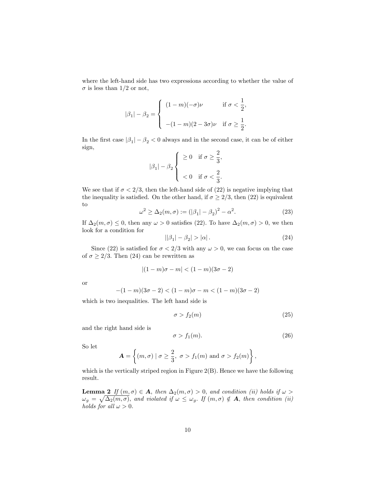where the left-hand side has two expressions according to whether the value of  $\sigma$  is less than 1/2 or not,

$$
|\beta_1| - \beta_2 = \begin{cases} (1-m)(-\sigma)\nu & \text{if } \sigma < \frac{1}{2}, \\ - (1-m)(2-3\sigma)\nu & \text{if } \sigma \ge \frac{1}{2}. \end{cases}
$$

In the first case  $|\beta_1| - \beta_2 < 0$  always and in the second case, it can be of either sign,

$$
|\beta_1| - \beta_2 \left\{ \begin{array}{cl} \geq 0 & \text{if } \sigma \geq \frac{2}{3}, \\ \\ < 0 & \text{if } \sigma < \frac{2}{3}. \end{array} \right.
$$

We see that if  $\sigma < 2/3$ , then the left-hand side of (22) is negative implying that the inequality is satisfied. On the other hand, if  $\sigma \geq 2/3$ , then (22) is equivalent to

$$
\omega^2 \ge \Delta_2(m, \sigma) := (|\beta_1| - \beta_2)^2 - \alpha^2. \tag{23}
$$

If  $\Delta_2(m, \sigma) \leq 0$ , then any  $\omega > 0$  satisfies (22). To have  $\Delta_2(m, \sigma) > 0$ , we then look for a condition for

$$
||\beta_1| - \beta_2| > |\alpha|.
$$
\n<sup>(24)</sup>

Since (22) is satisfied for  $\sigma < 2/3$  with any  $\omega > 0$ , we can focus on the case of  $\sigma \geq 2/3$ . Then (24) can be rewritten as

$$
|(1-m)\sigma-m|<(1-m)(3\sigma-2)
$$

or

$$
-(1-m)(3\sigma-2) < (1-m)\sigma - m < (1-m)(3\sigma-2)
$$

which is two inequalities. The left hand side is

$$
\sigma > f_2(m) \tag{25}
$$

and the right hand side is

$$
\sigma > f_1(m). \tag{26}
$$

So let

$$
\mathbf{A} = \left\{ (m, \sigma) \mid \sigma \ge \frac{2}{3}, \ \sigma > f_1(m) \text{ and } \sigma > f_2(m) \right\},\
$$

which is the vertically striped region in Figure 2(B). Hence we have the following result.

**Lemma 2** If  $(m, \sigma) \in A$ , then  $\Delta_2(m, \sigma) > 0$ , and condition (ii) holds if  $\omega >$  $\omega_g = \sqrt{\Delta_2(m,\sigma)}$ , and violated if  $\omega \leq \omega_g$ . If  $(m,\sigma) \notin \mathbf{A}$ , then condition (ii) holds for all  $\omega > 0$ .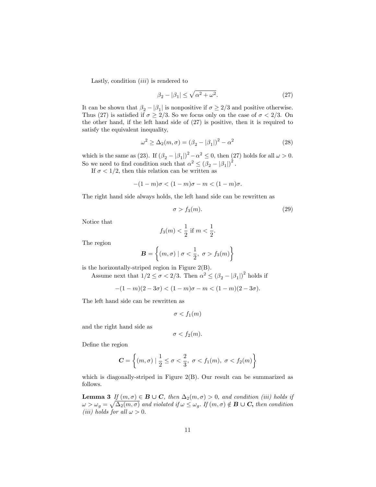Lastly, condition  $(iii)$  is rendered to

$$
\beta_2 - |\beta_1| \le \sqrt{\alpha^2 + \omega^2}.\tag{27}
$$

It can be shown that  $\beta_2 - |\beta_1|$  is nonpositive if  $\sigma \geq 2/3$  and positive otherwise. Thus (27) is satisfied if  $\sigma \geq 2/3$ . So we focus only on the case of  $\sigma < 2/3$ . On the other hand, if the left hand side of (27) is positive, then it is required to satisfy the equivalent inequality,

$$
\omega^2 \ge \Delta_2(m,\sigma) = (\beta_2 - |\beta_1|)^2 - \alpha^2 \tag{28}
$$

which is the same as (23). If  $(\beta_2 - |\beta_1|)^2 - \alpha^2 \leq 0$ , then (27) holds for all  $\omega > 0$ . So we need to find condition such that  $\alpha^2 \leq (\beta_2 - |\beta_1|)^2$ .

If  $\sigma$  < 1/2, then this relation can be written as

$$
-(1-m)\sigma < (1-m)\sigma - m < (1-m)\sigma.
$$

The right hand side always holds, the left hand side can be rewritten as

$$
\sigma > f_3(m). \tag{29}
$$

Notice that

$$
f_3(m) < \frac{1}{2}
$$
 if  $m < \frac{1}{2}$ .

The region

$$
\mathbf{B} = \left\{ (m, \sigma) \mid \sigma < \frac{1}{2}, \ \sigma > f_3(m) \right\}
$$

is the horizontally-striped region in Figure 2(B).

Assume next that  $1/2 \leq \sigma < 2/3$ . Then  $\alpha^2 \leq (\beta_2 - |\beta_1|)^2$  holds if

 $-(1-m)(2-3\sigma) < (1-m)\sigma - m < (1-m)(2-3\sigma).$ 

The left hand side can be rewritten as

$$
\sigma < f_1(m)
$$

and the right hand side as

$$
\sigma < f_2(m).
$$

Define the region

$$
\mathbf{C} = \left\{ (m, \sigma) \mid \frac{1}{2} \le \sigma < \frac{2}{3}, \ \sigma < f_1(m), \ \sigma < f_2(m) \right\}
$$

which is diagonally-striped in Figure 2(B). Our result can be summarized as follows.

**Lemma 3** If  $(m, \sigma) \in \mathbf{B} \cup \mathbf{C}$ , then  $\Delta_2(m, \sigma) > 0$ , and condition (iii) holds if  $\omega > \omega_g = \sqrt{\Delta_2(m,\sigma)}$  and violated if  $\omega \leq \omega_g$ . If  $(m,\sigma) \notin \mathbf{B} \cup \mathbf{C}$ , then condition (iii) holds for all  $\omega > 0$ .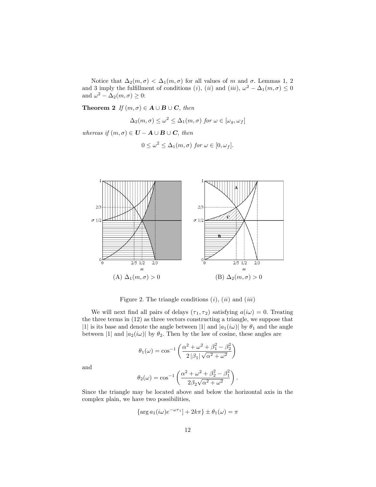Notice that  $\Delta_2(m, \sigma) < \Delta_1(m, \sigma)$  for all values of m and  $\sigma$ . Lemmas 1, 2 and 3 imply the fulfillment of conditions (*i*), (*ii*) and (*iii*),  $\omega^2 - \Delta_1(m, \sigma) \le 0$ and  $\omega^2 - \Delta_2(m, \sigma) \geq 0$ :

**Theorem 2** If  $(m, \sigma) \in A \cup B \cup C$ , then

$$
\Delta_2(m,\sigma) \le \omega^2 \le \Delta_1(m,\sigma) \text{ for } \omega \in [\omega_g, \omega_f]
$$

whereas if  $(m, \sigma) \in U - A \cup B \cup C$ , then

$$
0 \le \omega^2 \le \Delta_1(m, \sigma) \text{ for } \omega \in [0, \omega_f].
$$



Figure 2. The triangle conditions  $(i)$ ,  $(ii)$  and  $(iii)$ 

We will next find all pairs of delays  $(\tau_1, \tau_2)$  satisfying  $a(i\omega) = 0$ . Treating the three terms in (12) as three vectors constructing a triangle, we suppose that |1| is its base and denote the angle between |1| and  $|a_1(i\omega)|$  by  $\theta_1$  and the angle between |1| and  $|a_2(i\omega)|$  by  $\theta_2$ . Then by the law of cosine, these angles are

$$
\theta_1(\omega) = \cos^{-1}\left(\frac{\alpha^2 + \omega^2 + \beta_1^2 - \beta_2^2}{2|\beta_1| \sqrt{\alpha^2 + \omega^2}}\right)
$$

and

$$
\theta_2(\omega) = \cos^{-1}\left(\frac{\alpha^2 + \omega^2 + \beta_2^2 - \beta_1^2}{2\beta_2\sqrt{\alpha^2 + \omega^2}}\right).
$$

Since the triangle may be located above and below the horizontal axis in the complex plain, we have two possibilities,

$$
\left\{\arg a_1(i\omega)e^{-\omega\tau_1}\right\} + 2k\pi\right\} \pm \theta_1(\omega) = \pi
$$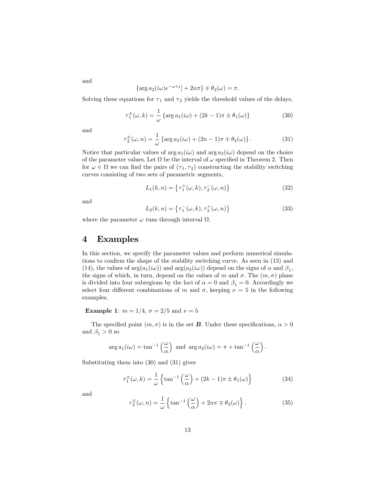$$
\{\arg a_2(i\omega)e^{-\omega\tau_2}\} + 2n\pi\} \mp \theta_2(\omega) = \pi.
$$

Solving these equations for  $\tau_1$  and  $\tau_2$  yields the threshold values of the delays,

$$
\tau_1^{\pm}(\omega, k) = \frac{1}{\omega} \left\{ \arg a_1(i\omega) + (2k - 1)\pi \pm \theta_1(\omega) \right\} \tag{30}
$$

and

and

$$
\tau_2^{\pm}(\omega, n) = \frac{1}{\omega} \left\{ \arg a_2(i\omega) + (2n - 1)\pi \mp \theta_2(\omega) \right\}. \tag{31}
$$

Notice that particular values of  $\arg a_1(i\omega)$  and  $\arg a_2(i\omega)$  depend on the choice of the parameter values. Let  $\Omega$  be the interval of  $\omega$  specified in Theorem 2. Then for  $\omega \in \Omega$  we can find the pairs of  $(\tau_1, \tau_2)$  constructing the stability switching curves consisting of two sets of parametric segments,

$$
L_1(k, n) = \left\{ \tau_1^+(\omega, k), \tau_2^-(\omega, n) \right\} \tag{32}
$$

and

$$
L_2(k, n) = \left\{ \tau_1^-(\omega, k), \tau_2^+(\omega, n) \right\} \tag{33}
$$

where the parameter  $\omega$  runs through interval  $\Omega$ .

#### 4 Examples

In this section, we specify the parameter values and perform numerical simulations to confirm the shape of the stability switching curve. As seen in  $(13)$  and (14), the values of  $arg(a_1(i\omega))$  and  $arg(a_2(i\omega))$  depend on the signs of  $\alpha$  and  $\beta_1$ , the signs of which, in turn, depend on the values of m and  $\sigma$ . The  $(m, \sigma)$  plane is divided into four subregions by the loci of  $\alpha = 0$  and  $\beta_1 = 0$ . Accordingly we select four different combinations of m and  $\sigma$ , keeping  $\nu = 5$  in the following examples.

**Example 1:**  $m = 1/4$ ,  $\sigma = 2/5$  and  $\nu = 5$ 

The specified point  $(m, \sigma)$  is in the set **B**. Under these specifications,  $\alpha > 0$ and  $\beta_1 > 0$  so

$$
\arg a_1(i\omega) = \tan^{-1}\left(\frac{\omega}{\alpha}\right) \text{ and } \arg a_2(i\omega) = \pi + \tan^{-1}\left(\frac{\omega}{\alpha}\right).
$$

Substituting them into (30) and (31) gives

$$
\tau_1^{\pm}(\omega,k) = \frac{1}{\omega} \left\{ \tan^{-1} \left( \frac{\omega}{\alpha} \right) + (2k-1)\pi \pm \theta_1(\omega) \right\} \tag{34}
$$

and

$$
\tau_2^{\pm}(\omega, n) = \frac{1}{\omega} \left\{ \tan^{-1} \left( \frac{\omega}{\alpha} \right) + 2n\pi \mp \theta_2(\omega) \right\}.
$$
 (35)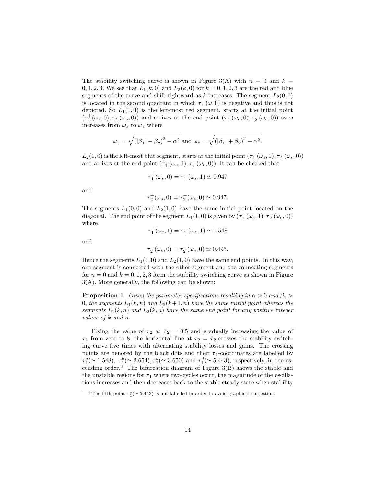The stability switching curve is shown in Figure 3(A) with  $n = 0$  and  $k =$ 0, 1, 2, 3. We see that  $L_1(k,0)$  and  $L_2(k,0)$  for  $k = 0, 1, 2, 3$  are the red and blue segments of the curve and shift rightward as k increases. The segment  $L_2(0,0)$ is located in the second quadrant in which  $\tau_1^-(\omega, 0)$  is negative and thus is not depicted. So  $L_1(0,0)$  is the left-most red segment, starts at the initial point  $(\tau_1^+(\omega_s,0),\tau_2^-(\omega_s,0))$  and arrives at the end point  $(\tau_1^+(\omega_e,0),\tau_2^-(\omega_e,0))$  as  $\omega$ increases from  $\omega_s$  to  $\omega_e$  where

$$
\omega_s = \sqrt{\left(|\beta_1| - \beta_2\right)^2 - \alpha^2}
$$
 and  $\omega_e = \sqrt{\left(|\beta_1| + \beta_2\right)^2 - \alpha^2}$ .

 $L_2(1,0)$  is the left-most blue segment, starts at the initial point  $(\tau_1^-(\omega_s,1),\tau_2^+(\omega_s,0))$ and arrives at the end point  $(\tau_1^+(\omega_e, 1), \tau_2^-(\omega_e, 0))$ . It can be checked that

$$
\tau_1^+(\omega_s, 0) = \tau_1^-(\omega_s, 1) \simeq 0.947
$$

and

$$
\tau_2^+(\omega_s, 0) = \tau_2^-(\omega_s, 0) \simeq 0.947.
$$

The segments  $L_1(0,0)$  and  $L_2(1,0)$  have the same initial point located on the diagonal. The end point of the segment  $L_1(1,0)$  is given by  $(\tau_1^+(\omega_e,1), \tau_2^-(\omega_e,0))$ where

and

$$
\tau_1^+(\omega_e, 1) = \tau_1^-(\omega_e, 1) \simeq 1.548
$$

$$
\tau_2^-(\omega_e, 0) = \tau_2^-(\omega_e, 0) \simeq 0.495.
$$

Hence the segments  $L_1(1,0)$  and  $L_2(1,0)$  have the same end points. In this way, one segment is connected with the other segment and the connecting segments for  $n = 0$  and  $k = 0, 1, 2, 3$  form the stability switching curve as shown in Figure 3(A). More generally, the following can be shown:

**Proposition 1** Given the parameter specifications resulting in  $\alpha > 0$  and  $\beta_1 >$ 0, the segments  $L_1(k,n)$  and  $L_2(k+1,n)$  have the same initial point whereas the segments  $L_1(k, n)$  and  $L_2(k, n)$  have the same end point for any positive integer values of  $k$  and  $n$ .

Fixing the value of  $\tau_2$  at  $\bar{\tau}_2 = 0.5$  and gradually increasing the value of  $\tau_1$  from zero to 8, the horizontal line at  $\tau_2 = \bar{\tau}_2$  crosses the stability switching curve Öve times with alternating stability losses and gains. The crossing points are denoted by the black dots and their  $\tau_1$ -coordinates are labelled by  $\tau_1^a(\simeq 1.548), \ \tau_1^b(\simeq 2.654), \tau_1^d(\simeq 3.650) \text{ and } \tau_1^d(\simeq 5.443), \text{ respectively, in the as-}$ cending order.<sup>3</sup> The bifurcation diagram of Figure  $3(B)$  shows the stable and the unstable regions for  $\tau_1$  where two-cycles occur, the magnitude of the oscillations increases and then decreases back to the stable steady state when stability

<sup>&</sup>lt;sup>3</sup>The fifth point  $\tau_1^e(\simeq 5.443)$  is not labelled in order to avoid graphical conjestion.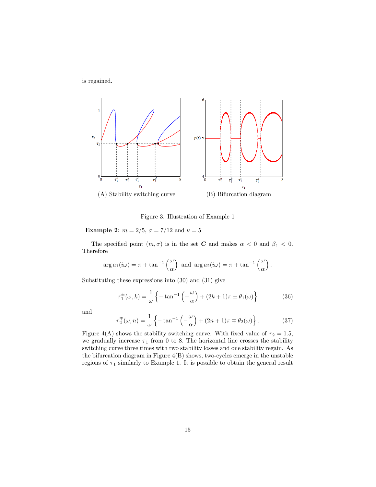is regained.



Figure 3. Illustration of Example 1

**Example 2:**  $m = 2/5$ ,  $\sigma = 7/12$  and  $\nu = 5$ 

The specified point  $(m, \sigma)$  is in the set **C** and makes  $\alpha < 0$  and  $\beta_1 < 0$ . Therefore

$$
\arg a_1(i\omega) = \pi + \tan^{-1}\left(\frac{\omega}{\alpha}\right) \text{ and } \arg a_2(i\omega) = \pi + \tan^{-1}\left(\frac{\omega}{\alpha}\right).
$$

Substituting these expressions into (30) and (31) give

$$
\tau_1^{\pm}(\omega,k) = \frac{1}{\omega} \left\{ -\tan^{-1} \left( -\frac{\omega}{\alpha} \right) + (2k+1)\pi \pm \theta_1(\omega) \right\} \tag{36}
$$

and

$$
\tau_2^{\pm}(\omega, n) = \frac{1}{\omega} \left\{ -\tan^{-1} \left( -\frac{\omega}{\alpha} \right) + (2n+1)\pi \mp \theta_2(\omega) \right\}.
$$
 (37)

Figure 4(A) shows the stability switching curve. With fixed value of  $\tau_2 = 1.5$ , we gradually increase  $\tau_1$  from 0 to 8. The horizontal line crosses the stability switching curve three times with two stability losses and one stability regain. As the bifurcation diagram in Figure 4(B) shows, two-cycles emerge in the unstable regions of  $\tau_1$  similarly to Example 1. It is possible to obtain the general result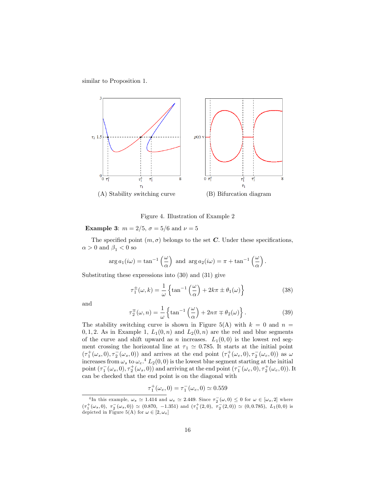similar to Proposition 1.



Figure 4. Illustration of Example 2

**Example 3:**  $m = 2/5$ ,  $\sigma = 5/6$  and  $\nu = 5$ 

The specified point  $(m, \sigma)$  belongs to the set C. Under these specifications,  $\alpha > 0$  and  $\beta_1 < 0$  so

$$
\arg a_1(i\omega) = \tan^{-1}\left(\frac{\omega}{\alpha}\right) \text{ and } \arg a_2(i\omega) = \pi + \tan^{-1}\left(\frac{\omega}{\alpha}\right).
$$

Substituting these expressions into (30) and (31) give

$$
\tau_1^{\pm}(\omega, k) = \frac{1}{\omega} \left\{ \tan^{-1} \left( \frac{\omega}{\alpha} \right) + 2k\pi \pm \theta_1(\omega) \right\} \tag{38}
$$

and

$$
\tau_2^{\pm}(\omega, n) = \frac{1}{\omega} \left\{ \tan^{-1} \left( \frac{\omega}{\alpha} \right) + 2n\pi \mp \theta_2(\omega) \right\}.
$$
 (39)

The stability switching curve is shown in Figure 5(A) with  $k = 0$  and  $n =$ 0, 1, 2. As in Example 1,  $L_1(0, n)$  and  $L_2(0, n)$  are the red and blue segments of the curve and shift upward as n increases.  $L_1(0,0)$  is the lowest red segment crossing the horizontal line at  $\tau_1 \simeq 0.785$ . It starts at the initial point  $(\tau_1^+(\omega_s, 0), \tau_2^-(\omega_s, 0))$  and arrives at the end point  $(\tau_1^+(\omega_e, 0), \tau_2^-(\omega_e, 0))$  as  $\omega$ increases from  $\omega_s$  to  $\omega_e$ .<sup>4</sup>  $L_2(0,0)$  is the lowest blue segment starting at the initial point  $(\tau_1^-(\omega_s, 0), \tau_2^+(\omega_s, 0))$  and arriving at the end point  $(\tau_1^-(\omega_e, 0), \tau_2^+(\omega_e, 0))$ . It can be checked that the end point is on the diagonal with

$$
\tau_1^+(\omega_e, 0) = \tau_1^-(\omega_e, 0) \simeq 0.559
$$

<sup>&</sup>lt;sup>4</sup>In this example,  $\omega_s \simeq 1.414$  and  $\omega_e \simeq 2.449$ . Since  $\tau_2(\omega, 0) \leq 0$  for  $\omega \in [\omega_s, 2]$  where  $(\tau_1^+(\omega_s, 0), \tau_2^-(\omega_s, 0)) \simeq (0.870, -1.351)$  and  $(\tau_1^+(2,0), \tau_2^-(2,0)) \simeq (0,0.785), L_1(0,0)$  is depicted in Figure 5(A) for  $\omega \in [2, \omega_e]$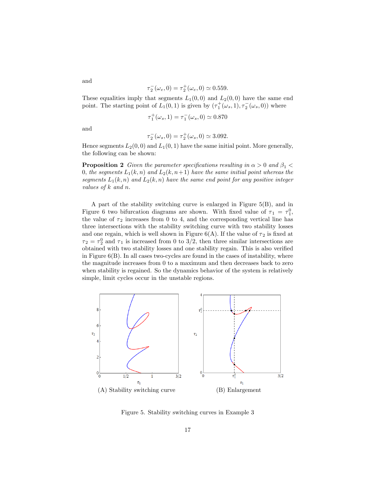$$
\tau_2^-(\omega_e, 0) = \tau_2^+(\omega_e, 0) \simeq 0.559.
$$

These equalities imply that segments  $L_1(0,0)$  and  $L_2(0,0)$  have the same end point. The starting point of  $L_1(0,1)$  is given by  $(\tau_1^+(\omega_s,1), \tau_2^-(\omega_s,0))$  where

$$
\tau_1^+(\omega_s, 1) = \tau_1^-(\omega_s, 0) \simeq 0.870
$$

and

and

$$
\tau_2^-(\omega_s, 0) = \tau_2^+(\omega_s, 0) \simeq 3.092.
$$

Hence segments  $L_2(0,0)$  and  $L_1(0,1)$  have the same initial point. More generally, the following can be shown:

**Proposition 2** Given the parameter specifications resulting in  $\alpha > 0$  and  $\beta_1$ 0, the segments  $L_1(k, n)$  and  $L_2(k, n+1)$  have the same initial point whereas the segments  $L_1(k, n)$  and  $L_2(k, n)$  have the same end point for any positive integer values of k and n:

A part of the stability switching curve is enlarged in Figure 5(B), and in Figure 6 two bifurcation diagrams are shown. With fixed value of  $\tau_1 = \tau_1^0$ , the value of  $\tau_2$  increases from 0 to 4, and the corresponding vertical line has three intersections with the stability switching curve with two stability losses and one regain, which is well shown in Figure  $6(A)$ . If the value of  $\tau_2$  is fixed at  $\tau_2 = \tau_2^0$  and  $\tau_1$  is increased from 0 to 3/2, then three similar intersections are obtained with two stability losses and one stability regain. This is also verified in Figure 6(B). In all cases two-cycles are found in the cases of instability, where the magnitude increases from 0 to a maximum and then decreases back to zero when stability is regained. So the dynamics behavior of the system is relatively simple, limit cycles occur in the unstable regions.



Figure 5. Stability switching curves in Example 3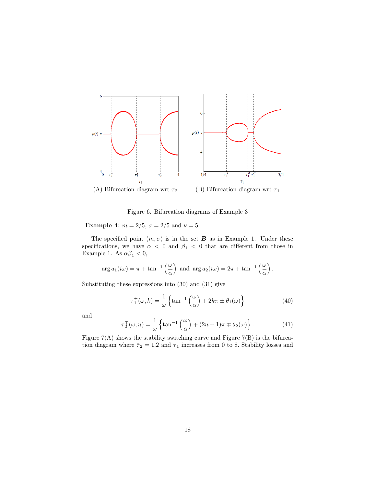

Figure 6. Bifurcation diagrams of Example 3

**Example 4:**  $m = 2/5$ ,  $\sigma = 2/5$  and  $\nu = 5$ 

The specified point  $(m, \sigma)$  is in the set **B** as in Example 1. Under these specifications, we have  $\alpha$  < 0 and  $\beta_1$  < 0 that are different from those in Example 1. As  $\alpha\beta_1<0,$ 

$$
\arg a_1(i\omega) = \pi + \tan^{-1}\left(\frac{\omega}{\alpha}\right) \text{ and } \arg a_2(i\omega) = 2\pi + \tan^{-1}\left(\frac{\omega}{\alpha}\right).
$$

Substituting these expressions into (30) and (31) give

$$
\tau_1^{\pm}(\omega, k) = \frac{1}{\omega} \left\{ \tan^{-1} \left( \frac{\omega}{\alpha} \right) + 2k\pi \pm \theta_1(\omega) \right\} \tag{40}
$$

and

$$
\tau_2^{\mp}(\omega, n) = \frac{1}{\omega} \left\{ \tan^{-1} \left( \frac{\omega}{\alpha} \right) + (2n + 1)\pi \mp \theta_2(\omega) \right\}.
$$
 (41)

Figure  $7(A)$  shows the stability switching curve and Figure  $7(B)$  is the bifurcation diagram where  $\bar{\tau}_2 = 1.2$  and  $\tau_1$  increases from 0 to 8. Stability losses and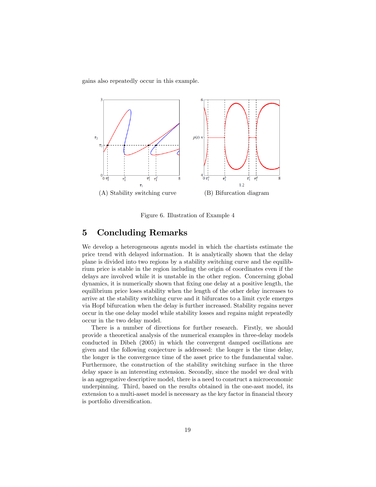gains also repeatedly occur in this example.



Figure 6. Illustration of Example 4

### 5 Concluding Remarks

We develop a heterogeneous agents model in which the chartists estimate the price trend with delayed information. It is analytically shown that the delay plane is divided into two regions by a stability switching curve and the equilibrium price is stable in the region including the origin of coordinates even if the delays are involved while it is unstable in the other region. Concerning global dynamics, it is numerically shown that Öxing one delay at a positive length, the equilibrium price loses stability when the length of the other delay increases to arrive at the stability switching curve and it bifurcates to a limit cycle emerges via Hopf bifurcation when the delay is further increased. Stability regains never occur in the one delay model while stability losses and regains might repeatedly occur in the two delay model.

There is a number of directions for further research. Firstly, we should provide a theoretical analysis of the numerical examples in three-delay models conducted in Dibeh (2005) in which the convergent damped oscillations are given and the following conjecture is addressed: the longer is the time delay, the longer is the convergence time of the asset price to the fundamental value. Furthermore, the construction of the stability switching surface in the three delay space is an interesting extension. Secondly, since the model we deal with is an aggregative descriptive model, there is a need to construct a microeconomic underpinning. Third, based on the results obtained in the one-asst model, its extension to a multi-asset model is necessary as the key factor in financial theory is portfolio diversification.